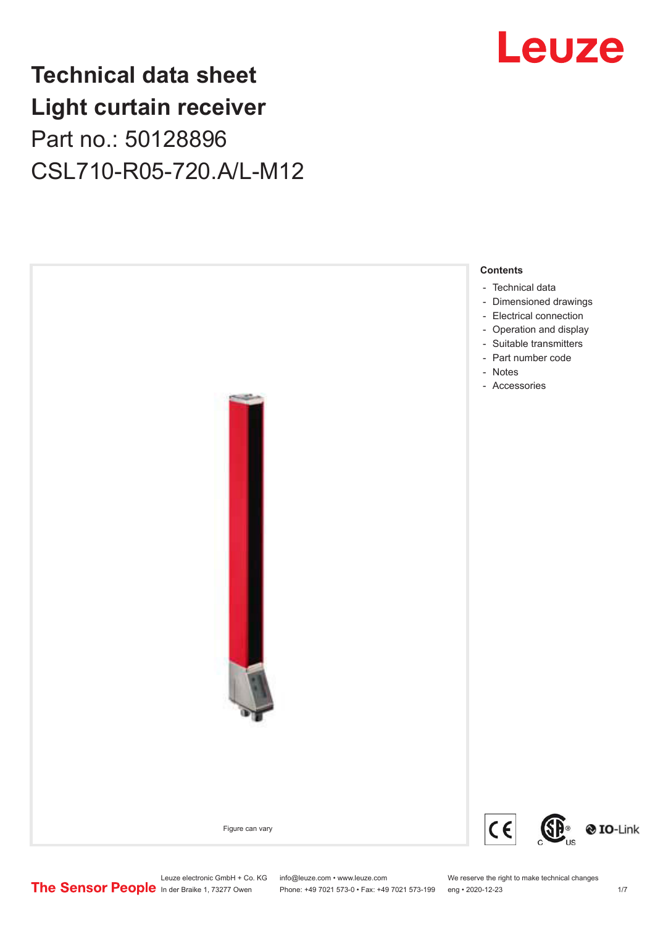## **Technical data sheet Light curtain receiver** Part no.: 50128896 CSL710-R05-720.A/L-M12



## Leuze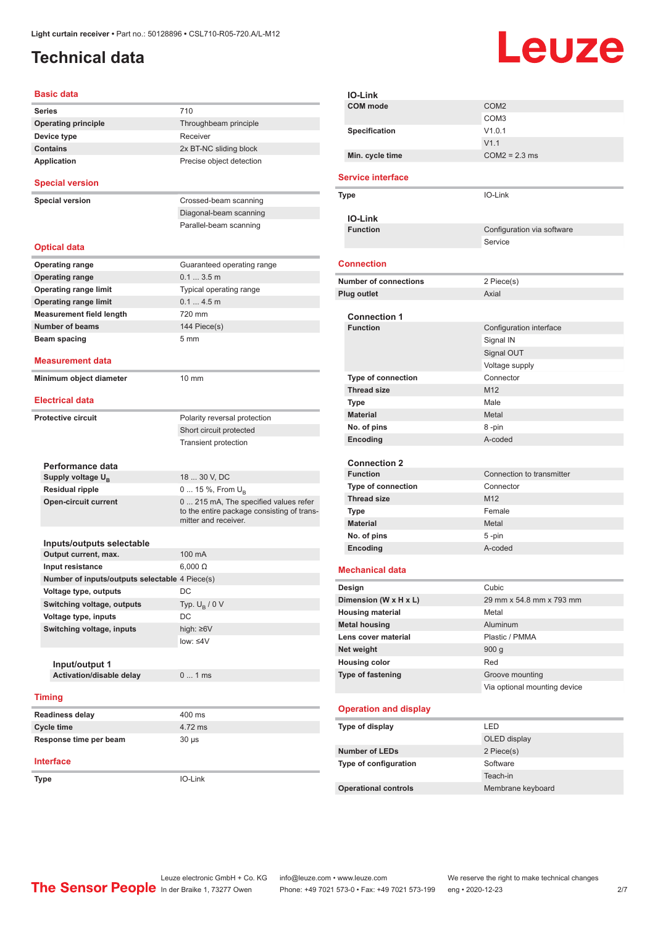## <span id="page-1-0"></span>**Technical data**

# Leuze

| <b>Basic data</b>                              |                                                                    |
|------------------------------------------------|--------------------------------------------------------------------|
| <b>Series</b>                                  | 710                                                                |
| <b>Operating principle</b>                     | Throughbeam principle                                              |
| Device type                                    | Receiver                                                           |
| <b>Contains</b>                                | 2x BT-NC sliding block                                             |
| <b>Application</b>                             | Precise object detection                                           |
| <b>Special version</b>                         |                                                                    |
| <b>Special version</b>                         | Crossed-beam scanning                                              |
|                                                | Diagonal-beam scanning                                             |
|                                                | Parallel-beam scanning                                             |
| <b>Optical data</b>                            |                                                                    |
| Operating range                                | Guaranteed operating range                                         |
| <b>Operating range</b>                         | 0.13.5m                                                            |
| <b>Operating range limit</b>                   | Typical operating range                                            |
| <b>Operating range limit</b>                   | 0.14.5m                                                            |
| <b>Measurement field length</b>                | 720 mm                                                             |
| <b>Number of beams</b>                         | 144 Piece(s)                                                       |
| Beam spacing                                   | 5 <sub>mm</sub>                                                    |
| Measurement data                               |                                                                    |
| Minimum object diameter                        | 10 mm                                                              |
| <b>Electrical data</b>                         |                                                                    |
| <b>Protective circuit</b>                      | Polarity reversal protection                                       |
|                                                | Short circuit protected                                            |
|                                                | Transient protection                                               |
|                                                |                                                                    |
| Performance data                               |                                                                    |
| Supply voltage $U_{B}$                         | 18  30 V, DC                                                       |
| <b>Residual ripple</b>                         | 0  15 %, From $U_{\rm B}$                                          |
| <b>Open-circuit current</b>                    | 0  215 mA, The specified values refer                              |
|                                                | to the entire package consisting of trans-<br>mitter and receiver. |
| Inputs/outputs selectable                      |                                                                    |
| Output current, max.                           | 100 mA                                                             |
| Input resistance                               | $6.000 \Omega$                                                     |
| Number of inputs/outputs selectable 4 Piece(s) |                                                                    |
| Voltage type, outputs                          | DC                                                                 |
| Switching voltage, outputs                     | Typ. $U_B / 0 V$                                                   |
| Voltage type, inputs                           | DC                                                                 |
| Switching voltage, inputs                      | high: $\geq 6V$                                                    |
|                                                | low: $\leq 4V$                                                     |
|                                                |                                                                    |
| Input/output 1                                 |                                                                    |
| Activation/disable delay                       | 01ms                                                               |
| <b>Timing</b>                                  |                                                                    |
| <b>Readiness delay</b>                         | 400 ms                                                             |
| <b>Cycle time</b>                              | 4.72 ms                                                            |
| Response time per beam                         | $30 \mu s$                                                         |
| <b>Interface</b>                               |                                                                    |
| Type                                           | IO-Link                                                            |
|                                                |                                                                    |

|  | <b>IO-Link</b>                         |                              |
|--|----------------------------------------|------------------------------|
|  | <b>COM</b> mode                        | COM <sub>2</sub>             |
|  |                                        | COM <sub>3</sub>             |
|  | <b>Specification</b>                   | V1.0.1                       |
|  |                                        | V1.1                         |
|  | Min. cycle time                        | $COM2 = 2.3$ ms              |
|  | <b>Service interface</b>               |                              |
|  | Type                                   | IO-Link                      |
|  |                                        |                              |
|  | <b>IO-Link</b>                         |                              |
|  | <b>Function</b>                        | Configuration via software   |
|  |                                        | Service                      |
|  |                                        |                              |
|  | Connection                             |                              |
|  | <b>Number of connections</b>           | 2 Piece(s)                   |
|  | <b>Plug outlet</b>                     | Axial                        |
|  |                                        |                              |
|  | <b>Connection 1</b><br><b>Function</b> | Configuration interface      |
|  |                                        |                              |
|  |                                        | Signal IN                    |
|  |                                        | Signal OUT                   |
|  |                                        | Voltage supply               |
|  | <b>Type of connection</b>              | Connector                    |
|  | <b>Thread size</b>                     | M <sub>12</sub>              |
|  | Type                                   | Male                         |
|  | <b>Material</b>                        | Metal                        |
|  | No. of pins                            | 8 -pin                       |
|  | Encoding                               | A-coded                      |
|  |                                        |                              |
|  | <b>Connection 2</b><br><b>Function</b> | Connection to transmitter    |
|  | Type of connection                     | Connector                    |
|  | <b>Thread size</b>                     | M12                          |
|  | Type                                   | Female                       |
|  | <b>Material</b>                        | Metal                        |
|  | No. of pins                            | 5-pin                        |
|  | Encoding                               | A-coded                      |
|  |                                        |                              |
|  | <b>Mechanical data</b>                 |                              |
|  | Design                                 | Cubic                        |
|  | Dimension (W x H x L)                  | 29 mm x 54.8 mm x 793 mm     |
|  | <b>Housing material</b>                | Metal                        |
|  | <b>Metal housing</b>                   | Aluminum                     |
|  | Lens cover material                    | Plastic / PMMA               |
|  | Net weight                             | 900 <sub>g</sub>             |
|  | <b>Housing color</b>                   | Red                          |
|  | Type of fastening                      | Groove mounting              |
|  |                                        | Via optional mounting device |
|  | <b>Operation and display</b>           |                              |
|  | Type of display                        | LED                          |
|  |                                        |                              |
|  |                                        | OLED display                 |
|  | <b>Number of LEDs</b>                  | 2 Piece(s)                   |
|  | Type of configuration                  | Software<br>Teach-in         |
|  |                                        | Membrane keyboard            |
|  | <b>Operational controls</b>            |                              |
|  |                                        |                              |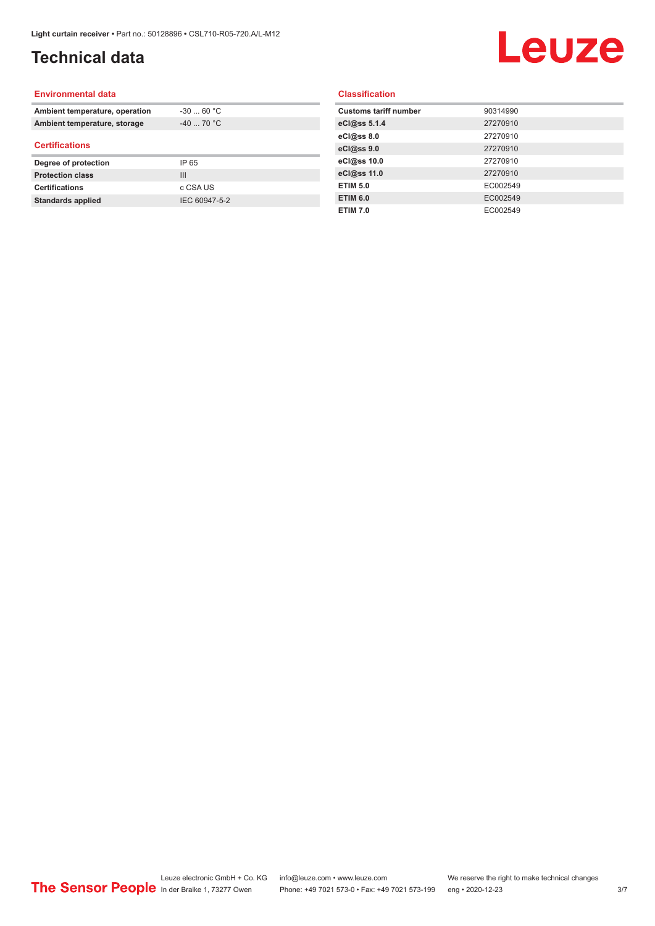## **Technical data**

## Leuze

#### **Environmental data**

| Ambient temperature, operation | $-30$ 60 °C    |  |
|--------------------------------|----------------|--|
| Ambient temperature, storage   | $-40$ 70 °C    |  |
| <b>Certifications</b>          |                |  |
| Degree of protection           | IP 65          |  |
| <b>Protection class</b>        | $\mathbf{III}$ |  |
| <b>Certifications</b>          | c CSA US       |  |
| <b>Standards applied</b>       | IEC 60947-5-2  |  |

#### **Classification**

| <b>Customs tariff number</b> | 90314990 |
|------------------------------|----------|
| eCl@ss 5.1.4                 | 27270910 |
| eCl@ss 8.0                   | 27270910 |
| eCl@ss 9.0                   | 27270910 |
| eCl@ss 10.0                  | 27270910 |
| eCl@ss 11.0                  | 27270910 |
| <b>ETIM 5.0</b>              | EC002549 |
| <b>ETIM 6.0</b>              | EC002549 |
| <b>ETIM 7.0</b>              | EC002549 |
|                              |          |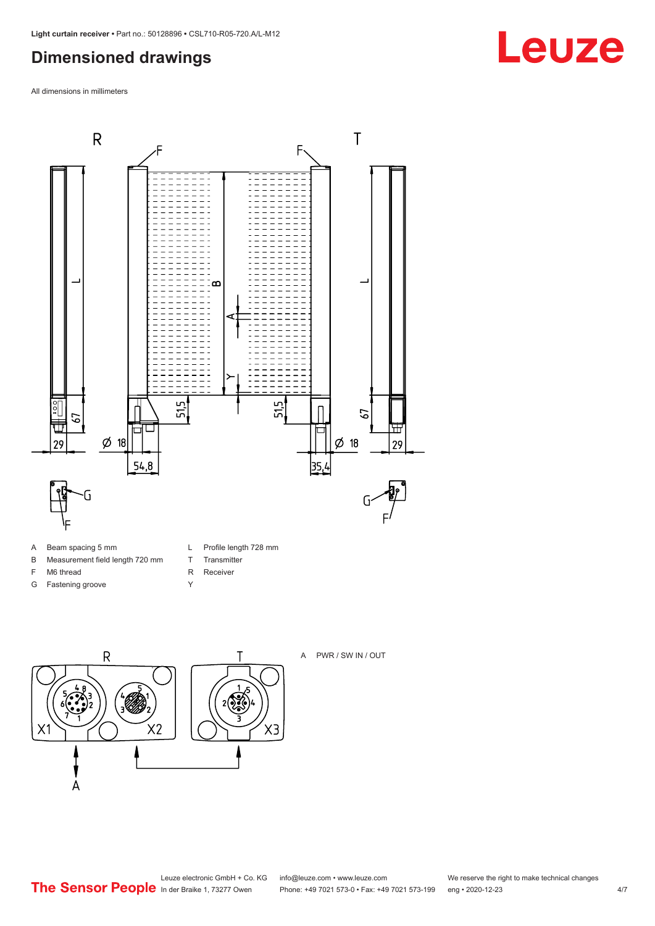### <span id="page-3-0"></span>**Dimensioned drawings**

All dimensions in millimeters



- A Beam spacing 5 mm
- B Measurement field length 720 mm
- F M6 thread
- G Fastening groove
- L Profile length 728 mm
- T Transmitter
- R Receiver
- Y





## **Leuze**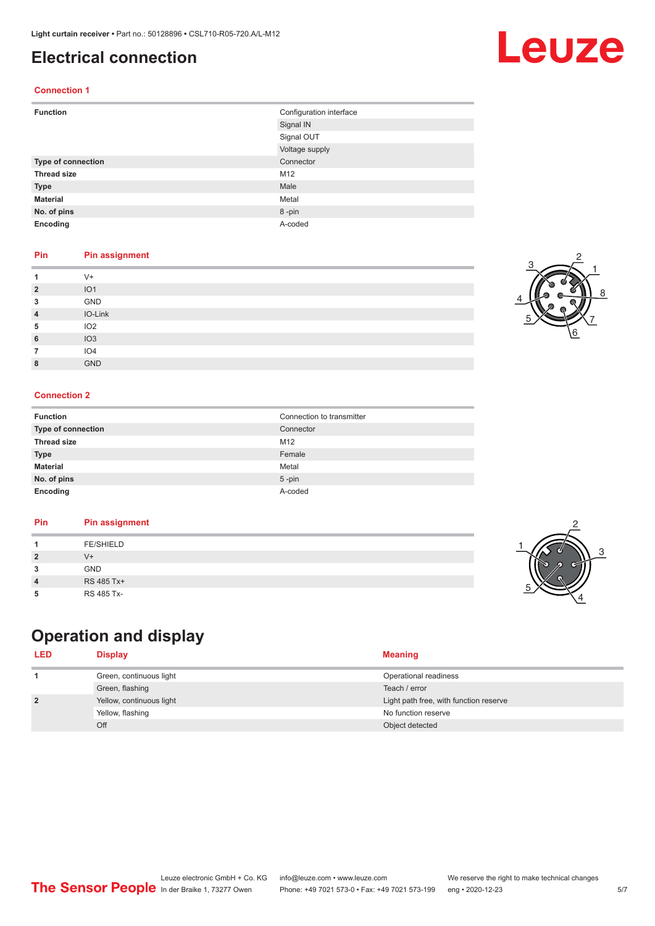### <span id="page-4-0"></span>**Electrical connection**

#### **Connection 1**

| <b>Function</b>    | Configuration interface |
|--------------------|-------------------------|
|                    | Signal IN               |
|                    | Signal OUT              |
|                    | Voltage supply          |
| Type of connection | Connector               |
| <b>Thread size</b> | M12                     |
| <b>Type</b>        | Male                    |
| <b>Material</b>    | Metal                   |
| No. of pins        | 8-pin                   |
| Encoding           | A-coded                 |

#### **Pin Pin assignment**

|                | $V +$           |
|----------------|-----------------|
| $\overline{2}$ | IO <sub>1</sub> |
| 3              | GND             |
| 4              | IO-Link         |
| 5              | IO <sub>2</sub> |
| 6              | IO3             |
|                | IO <sub>4</sub> |
| 8              | <b>GND</b>      |

#### **Connection 2**

| <b>Function</b>    | Connection to transmitter |
|--------------------|---------------------------|
| Type of connection | Connector                 |
| <b>Thread size</b> | M12                       |
| <b>Type</b>        | Female                    |
| <b>Material</b>    | Metal                     |
| No. of pins        | $5 - pin$                 |
| Encoding           | A-coded                   |

#### **Pin Pin assignment**

## **Operation and display**

| <b>LED</b>     | <b>Display</b>           | <b>Meaning</b>                         |
|----------------|--------------------------|----------------------------------------|
|                | Green, continuous light  | Operational readiness                  |
|                | Green, flashing          | Teach / error                          |
| $\overline{2}$ | Yellow, continuous light | Light path free, with function reserve |
|                | Yellow, flashing         | No function reserve                    |
|                | Off                      | Object detected                        |

3

2

4





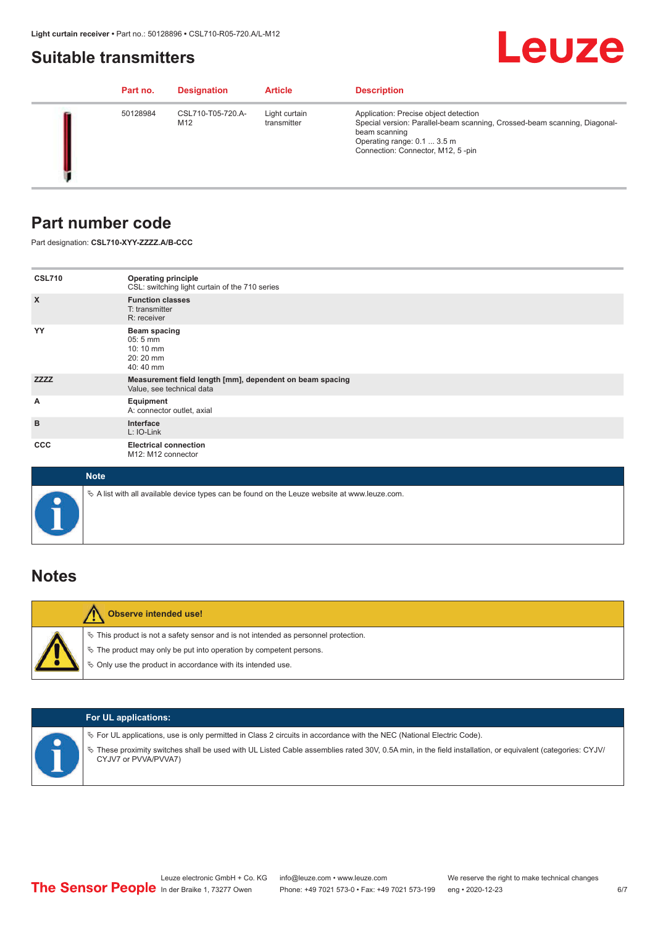### <span id="page-5-0"></span>**Suitable transmitters**

## Leuze

|  | Part no. | <b>Designation</b>       | <b>Article</b>               | <b>Description</b>                                                                                                                                                                                      |
|--|----------|--------------------------|------------------------------|---------------------------------------------------------------------------------------------------------------------------------------------------------------------------------------------------------|
|  | 50128984 | CSL710-T05-720.A-<br>M12 | Light curtain<br>transmitter | Application: Precise object detection<br>Special version: Parallel-beam scanning, Crossed-beam scanning, Diagonal-<br>beam scanning<br>Operating range: 0.1  3.5 m<br>Connection: Connector, M12, 5-pin |

### **Part number code**

Part designation: **CSL710-XYY-ZZZZ.A/B-CCC**

| <b>CSL710</b>             | <b>Operating principle</b><br>CSL: switching light curtain of the 710 series               |
|---------------------------|--------------------------------------------------------------------------------------------|
| $\boldsymbol{\mathsf{X}}$ | <b>Function classes</b><br>T: transmitter<br>R: receiver                                   |
| YY                        | <b>Beam spacing</b><br>$05:5 \, \text{mm}$<br>$10:10 \, \text{mm}$<br>20:20 mm<br>40:40 mm |
| <b>ZZZZ</b>               | Measurement field length [mm], dependent on beam spacing<br>Value, see technical data      |
| А                         | Equipment<br>A: connector outlet, axial                                                    |
| B                         | Interface<br>L: IO-Link                                                                    |
| <b>CCC</b>                | <b>Electrical connection</b><br>M12: M12 connector                                         |

| <b>Note</b>                                                                                       |
|---------------------------------------------------------------------------------------------------|
| Vector A list with all available device types can be found on the Leuze website at www.leuze.com. |

### **Notes**

| <b>Observe intended use!</b>                                                                                                                                                                                                     |
|----------------------------------------------------------------------------------------------------------------------------------------------------------------------------------------------------------------------------------|
| $\%$ This product is not a safety sensor and is not intended as personnel protection.<br>$\%$ The product may only be put into operation by competent persons.<br>$\%$ Only use the product in accordance with its intended use. |

|  | <b>For UL applications:</b>                                                                                                                                                                                                                                                                   |
|--|-----------------------------------------------------------------------------------------------------------------------------------------------------------------------------------------------------------------------------------------------------------------------------------------------|
|  | $\%$ For UL applications, use is only permitted in Class 2 circuits in accordance with the NEC (National Electric Code).<br>These proximity switches shall be used with UL Listed Cable assemblies rated 30V, 0.5A min, in the field installation, or equivalent (categories: CYJV/<br>$\phi$ |
|  | CYJV7 or PVVA/PVVA7)                                                                                                                                                                                                                                                                          |